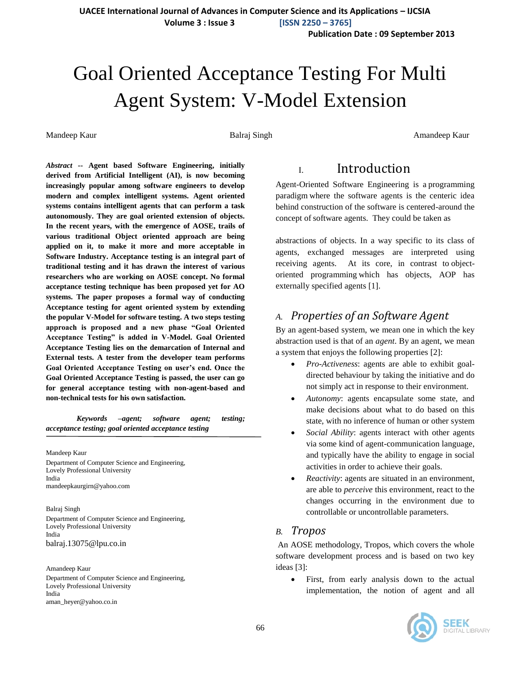**UACEE International Journal of Advances in Computer Science and its Applications – IJCSIA**

 **Volume 3 : Issue 3 [ISSN 2250 – 3765]**

**Publication Date : 09 September 2013**

# Goal Oriented Acceptance Testing For Multi Agent System: V-Model Extension

Mandeep Kaur **Balraj Singh Amandeep Kaur** Balraj Singh Amandeep Kaur Amandeep Kaur

*Abstract* **-- Agent based Software Engineering, initially derived from Artificial Intelligent (AI), is now becoming increasingly popular among software engineers to develop modern and complex intelligent systems. Agent oriented systems contains intelligent agents that can perform a task autonomously. They are goal oriented extension of objects. In the recent years, with the emergence of AOSE, trails of various traditional Object oriented approach are being applied on it, to make it more and more acceptable in Software Industry. Acceptance testing is an integral part of traditional testing and it has drawn the interest of various researchers who are working on AOSE concept. No formal acceptance testing technique has been proposed yet for AO systems. The paper proposes a formal way of conducting Acceptance testing for agent oriented system by extending the popular V-Model for software testing. A two steps testing approach is proposed and a new phase "Goal Oriented Acceptance Testing" is added in V-Model. Goal Oriented Acceptance Testing lies on the demarcation of Internal and External tests. A tester from the developer team performs Goal Oriented Acceptance Testing on user's end. Once the Goal Oriented Acceptance Testing is passed, the user can go for general acceptance testing with non-agent-based and non-technical tests for his own satisfaction.**

*Keywords –agent; software agent; testing; acceptance testing; goal oriented acceptance testing*

Mandeep Kaur Department of Computer Science and Engineering, Lovely Professional University India mandeepkaurgirn@yahoo.com

Balraj Singh Department of Computer Science and Engineering, Lovely Professional University India balraj.13075@lpu.co.in

Amandeep Kaur Department of Computer Science and Engineering, Lovely Professional University India aman\_heyer@yahoo.co.in

# I. Introduction

Agent-Oriented Software Engineering is a programming paradigm where the software agents is the centeric idea behind construction of the software is centered-around the concept of software agents. They could be taken as

abstractions of objects. In a way specific to its class of agents, exchanged messages are interpreted using receiving agents. At its core, in contrast to objectoriented programming which has objects, AOP has externally specified agents [1].

### *A. Properties of an Software Agent*

By an agent-based system, we mean one in which the key abstraction used is that of an *agent*. By an agent, we mean a system that enjoys the following properties [2]:

- *Pro-Activeness*: agents are able to exhibit goaldirected behaviour by taking the initiative and do not simply act in response to their environment.
- *Autonomy*: agents encapsulate some state, and make decisions about what to do based on this state, with no inference of human or other system
- *Social Ability*: agents interact with other agents via some kind of agent-communication language, and typically have the ability to engage in social activities in order to achieve their goals.
- *Reactivity*: agents are situated in an environment, are able to *perceive* this environment, react to the changes occurring in the environment due to controllable or uncontrollable parameters.

#### *B. Tropos*

An AOSE methodology, Tropos, which covers the whole software development process and is based on two key ideas [3]:

 First, from early analysis down to the actual implementation, the notion of agent and all

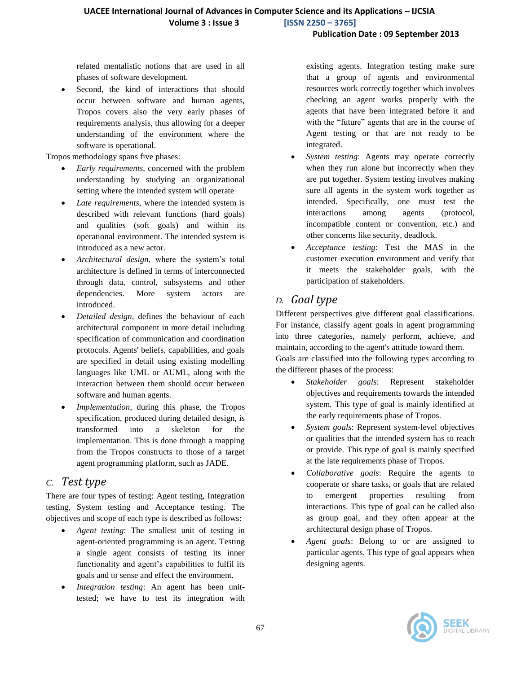#### **Publication Date : 09 September 2013**

related mentalistic notions that are used in all phases of software development.

 Second, the kind of interactions that should occur between software and human agents, Tropos covers also the very early phases of requirements analysis, thus allowing for a deeper understanding of the environment where the software is operational.

Tropos methodology spans five phases:

- *Early requirements*, concerned with the problem understanding by studying an organizational setting where the intended system will operate
- *Late requirements*, where the intended system is described with relevant functions (hard goals) and qualities (soft goals) and within its operational environment. The intended system is introduced as a new actor.
- *Architectural design*, where the system's total architecture is defined in terms of interconnected through data, control, subsystems and other dependencies. More system actors are introduced.
- *Detailed design*, defines the behaviour of each architectural component in more detail including specification of communication and coordination protocols. Agents' beliefs, capabilities, and goals are specified in detail using existing modelling languages like UML or AUML, along with the interaction between them should occur between software and human agents.
- *Implementation*, during this phase, the Tropos specification, produced during detailed design, is transformed into a skeleton for the implementation. This is done through a mapping from the Tropos constructs to those of a target agent programming platform, such as JADE.

### *C. Test type*

There are four types of testing: Agent testing, Integration testing, System testing and Acceptance testing. The objectives and scope of each type is described as follows:

- *Agent testing*: The smallest unit of testing in agent-oriented programming is an agent. Testing a single agent consists of testing its inner functionality and agent's capabilities to fulfil its goals and to sense and effect the environment.
- *Integration testing*: An agent has been unittested; we have to test its integration with

existing agents. Integration testing make sure that a group of agents and environmental resources work correctly together which involves checking an agent works properly with the agents that have been integrated before it and with the "future" agents that are in the course of Agent testing or that are not ready to be integrated.

- *System testing*: Agents may operate correctly when they run alone but incorrectly when they are put together. System testing involves making sure all agents in the system work together as intended. Specifically, one must test the interactions among agents (protocol, incompatible content or convention, etc.) and other concerns like security, deadlock.
- *Acceptance testing*: Test the MAS in the customer execution environment and verify that it meets the stakeholder goals, with the participation of stakeholders.

# *D. Goal type*

Different perspectives give different goal classifications. For instance, classify agent goals in agent programming into three categories, namely perform, achieve, and maintain, according to the agent's attitude toward them.

Goals are classified into the following types according to the different phases of the process:

- *Stakeholder goals*: Represent stakeholder objectives and requirements towards the intended system. This type of goal is mainly identified at the early requirements phase of Tropos.
- *System goals*: Represent system-level objectives or qualities that the intended system has to reach or provide. This type of goal is mainly specified at the late requirements phase of Tropos.
- *Collaborative goals*: Require the agents to cooperate or share tasks, or goals that are related to emergent properties resulting from interactions. This type of goal can be called also as group goal, and they often appear at the architectural design phase of Tropos.
- *Agent goals*: Belong to or are assigned to particular agents. This type of goal appears when designing agents.

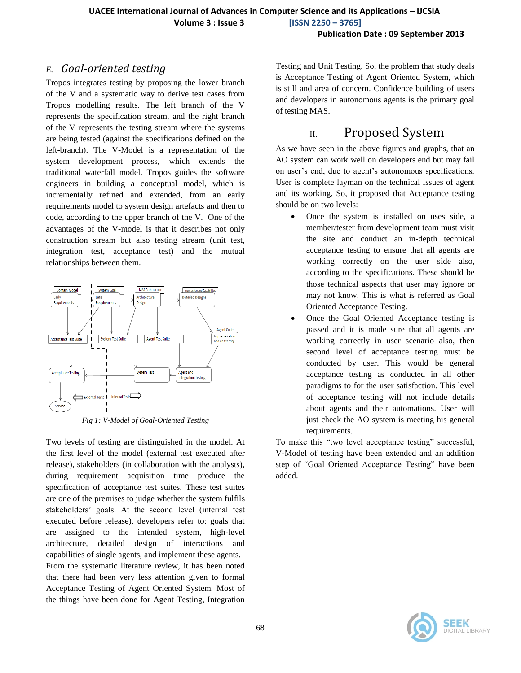### *E. Goal-oriented testing*

Tropos integrates testing by proposing the lower branch of the V and a systematic way to derive test cases from Tropos modelling results. The left branch of the V represents the specification stream, and the right branch of the V represents the testing stream where the systems are being tested (against the specifications defined on the left-branch). The V-Model is a representation of the system development process, which extends the traditional waterfall model. Tropos guides the software engineers in building a conceptual model, which is incrementally refined and extended, from an early requirements model to system design artefacts and then to code, according to the upper branch of the V. One of the advantages of the V-model is that it describes not only construction stream but also testing stream (unit test, integration test, acceptance test) and the mutual relationships between them.



*Fig 1: V-Model of Goal-Oriented Testing*

Two levels of testing are distinguished in the model. At the first level of the model (external test executed after release), stakeholders (in collaboration with the analysts), during requirement acquisition time produce the specification of acceptance test suites. These test suites are one of the premises to judge whether the system fulfils stakeholders' goals. At the second level (internal test executed before release), developers refer to: goals that are assigned to the intended system, high-level architecture, detailed design of interactions and capabilities of single agents, and implement these agents. From the systematic literature review, it has been noted that there had been very less attention given to formal Acceptance Testing of Agent Oriented System. Most of the things have been done for Agent Testing, Integration

Testing and Unit Testing. So, the problem that study deals is Acceptance Testing of Agent Oriented System, which is still and area of concern. Confidence building of users and developers in autonomous agents is the primary goal of testing MAS.

# II. Proposed System

As we have seen in the above figures and graphs, that an AO system can work well on developers end but may fail on user's end, due to agent's autonomous specifications. User is complete layman on the technical issues of agent and its working. So, it proposed that Acceptance testing should be on two levels:

- Once the system is installed on uses side, a member/tester from development team must visit the site and conduct an in-depth technical acceptance testing to ensure that all agents are working correctly on the user side also, according to the specifications. These should be those technical aspects that user may ignore or may not know. This is what is referred as Goal Oriented Acceptance Testing.
- Once the Goal Oriented Acceptance testing is passed and it is made sure that all agents are working correctly in user scenario also, then second level of acceptance testing must be conducted by user. This would be general acceptance testing as conducted in all other paradigms to for the user satisfaction. This level of acceptance testing will not include details about agents and their automations. User will just check the AO system is meeting his general requirements.

To make this "two level acceptance testing" successful, V-Model of testing have been extended and an addition step of "Goal Oriented Acceptance Testing" have been added.

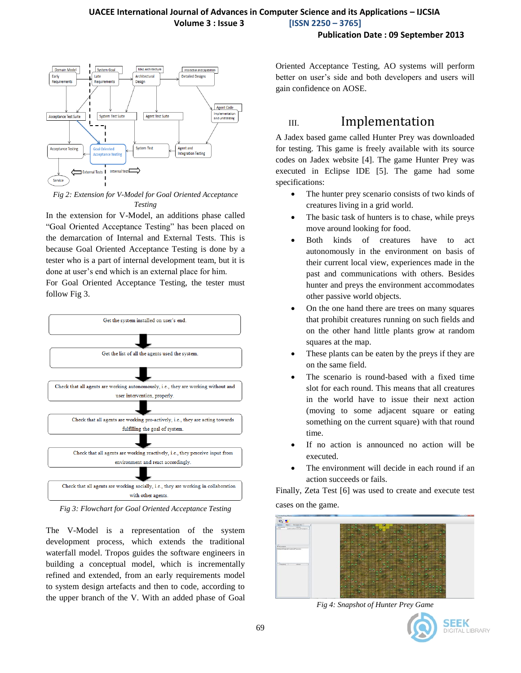

*Fig 2: Extension for V-Model for Goal Oriented Acceptance Testing*

In the extension for V-Model, an additions phase called "Goal Oriented Acceptance Testing" has been placed on the demarcation of Internal and External Tests. This is because Goal Oriented Acceptance Testing is done by a tester who is a part of internal development team, but it is done at user's end which is an external place for him.

For Goal Oriented Acceptance Testing, the tester must follow Fig 3.



*Fig 3: Flowchart for Goal Oriented Acceptance Testing*

The V-Model is a representation of the system development process, which extends the traditional waterfall model. Tropos guides the software engineers in building a conceptual model, which is incrementally refined and extended, from an early requirements model to system design artefacts and then to code, according to the upper branch of the V. With an added phase of Goal Oriented Acceptance Testing, AO systems will perform better on user's side and both developers and users will gain confidence on AOSE.

# III. Implementation

A Jadex based game called Hunter Prey was downloaded for testing. This game is freely available with its source codes on Jadex website [4]. The game Hunter Prey was executed in Eclipse IDE [5]. The game had some specifications:

- The hunter prey scenario consists of two kinds of creatures living in a grid world.
- The basic task of hunters is to chase, while preys move around looking for food.
- Both kinds of creatures have to act autonomously in the environment on basis of their current local view, experiences made in the past and communications with others. Besides hunter and preys the environment accommodates other passive world objects.
- On the one hand there are trees on many squares that prohibit creatures running on such fields and on the other hand little plants grow at random squares at the map.
- These plants can be eaten by the preys if they are on the same field.
- The scenario is round-based with a fixed time slot for each round. This means that all creatures in the world have to issue their next action (moving to some adjacent square or eating something on the current square) with that round time.
- If no action is announced no action will be executed.
- The environment will decide in each round if an action succeeds or fails.

Finally, Zeta Test [6] was used to create and execute test cases on the game.



*Fig 4: Snapshot of Hunter Prey Game*

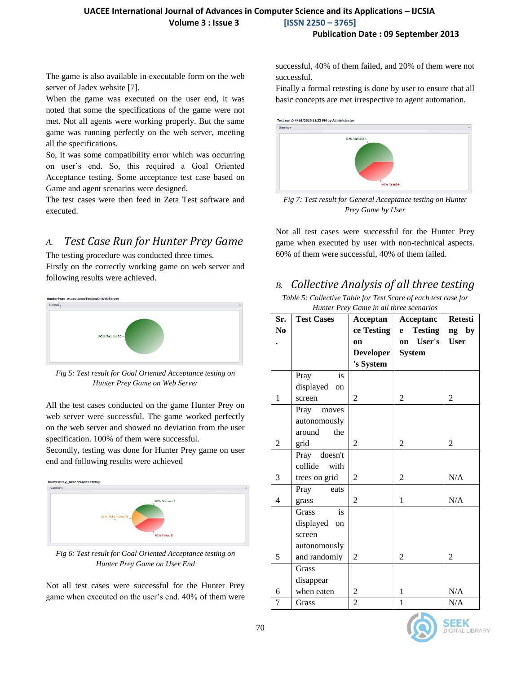#### **UACEE International Journal of Advances in Computer Science and its Applications – IJCSIA Volume 3 : Issue 3 [ISSN 2250 – 3765]**

#### **Publication Date : 09 September 2013**

The game is also available in executable form on the web server of Jadex website [7].

When the game was executed on the user end, it was noted that some the specifications of the game were not met. Not all agents were working properly. But the same game was running perfectly on the web server, meeting all the specifications.

So, it was some compatibility error which was occurring on user's end. So, this required a Goal Oriented Acceptance testing. Some acceptance test case based on Game and agent scenarios were designed.

The test cases were then feed in Zeta Test software and executed.

### *A. Test Case Run for Hunter Prey Game*

The testing procedure was conducted three times. Firstly on the correctly working game on web server and following results were achieved.



*Fig 5: Test result for Goal Oriented Acceptance testing on Hunter Prey Game on Web Server*

All the test cases conducted on the game Hunter Prey on web server were successful. The game worked perfectly on the web server and showed no deviation from the user specification. 100% of them were successful.

Secondly, testing was done for Hunter Prey game on user end and following results were achieved



*Fig 6: Test result for Goal Oriented Acceptance testing on Hunter Prey Game on User End*

Not all test cases were successful for the Hunter Prey game when executed on the user's end. 40% of them were successful, 40% of them failed, and 20% of them were not successful.

Finally a formal retesting is done by user to ensure that all basic concepts are met irrespective to agent automation.



*Fig 7: Test result for General Acceptance testing on Hunter Prey Game by User*

Not all test cases were successful for the Hunter Prey game when executed by user with non-technical aspects. 60% of them were successful, 40% of them failed.

## *B. Collective Analysis of all three testing*

*Table 5: Collective Table for Test Score of each test case for Hunter Prey Game in all three scenarios*

| Sr.            | <b>Test Cases</b> | Acceptan         | Acceptanc                           | <b>Retesti</b>       |
|----------------|-------------------|------------------|-------------------------------------|----------------------|
| N <sub>0</sub> |                   | ce Testing<br>on | <b>Testing</b><br>e<br>User's<br>on | ng by<br><b>User</b> |
|                |                   | <b>Developer</b> | <b>System</b>                       |                      |
|                |                   | 's System        |                                     |                      |
|                | Pray<br>is        |                  |                                     |                      |
|                | displayed on      |                  |                                     |                      |
| $\mathbf{1}$   | screen            | $\overline{2}$   | $\overline{2}$                      | $\overline{2}$       |
|                | Pray moves        |                  |                                     |                      |
|                | autonomously      |                  |                                     |                      |
|                | around<br>the     |                  |                                     |                      |
| $\overline{2}$ | grid              | 2                | $\overline{2}$                      | $\overline{2}$       |
|                | Pray doesn't      |                  |                                     |                      |
|                | collide<br>with   |                  |                                     |                      |
| 3              | trees on grid     | $\overline{2}$   | 2                                   | N/A                  |
|                | Pray<br>eats      |                  |                                     |                      |
| $\overline{4}$ | grass             | 2                | $\mathbf{1}$                        | N/A                  |
|                | is<br>Grass       |                  |                                     |                      |
|                | displayed<br>on   |                  |                                     |                      |
|                | screen            |                  |                                     |                      |
|                | autonomously      |                  |                                     |                      |
| 5              | and randomly      | $\overline{2}$   | $\overline{2}$                      | $\overline{2}$       |
|                | Grass             |                  |                                     |                      |
|                | disappear         |                  |                                     |                      |
| 6              | when eaten        | 2                | 1                                   | N/A                  |
| $\overline{7}$ | Grass             | $\overline{2}$   | $\mathbf{1}$                        | N/A                  |

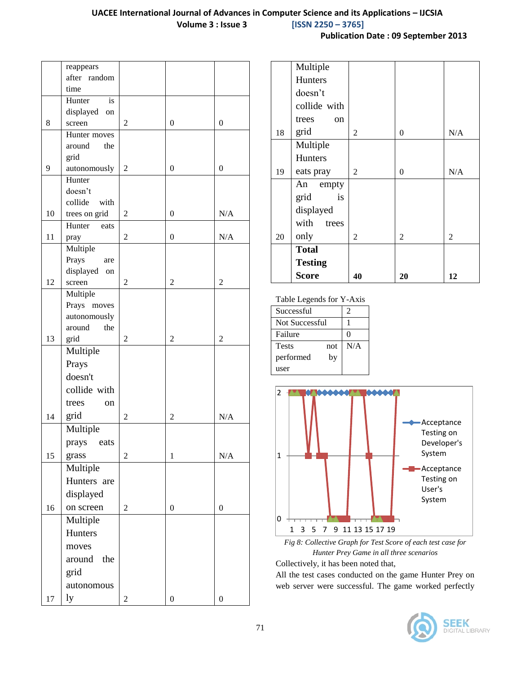|    | reappears       |                |                  |                  |
|----|-----------------|----------------|------------------|------------------|
|    | after random    |                |                  |                  |
|    | time            |                |                  |                  |
|    | Hunter<br>is    |                |                  |                  |
|    | displayed<br>on |                |                  |                  |
| 8  | screen          | 2              | $\theta$         | $\mathbf{0}$     |
|    | Hunter moves    |                |                  |                  |
|    | around<br>the   |                |                  |                  |
|    | grid            |                |                  |                  |
| 9  | autonomously    | $\overline{c}$ | $\boldsymbol{0}$ | $\boldsymbol{0}$ |
|    | Hunter          |                |                  |                  |
|    | doesn't         |                |                  |                  |
|    | collide<br>with |                |                  |                  |
| 10 | trees on grid   | $\overline{2}$ | 0                | N/A              |
|    | Hunter<br>eats  |                |                  |                  |
| 11 | pray            | $\sqrt{2}$     | $\boldsymbol{0}$ | N/A              |
|    | Multiple        |                |                  |                  |
|    | Prays<br>are    |                |                  |                  |
|    | displayed<br>on |                |                  |                  |
| 12 | screen          | 2              | $\overline{2}$   | $\overline{2}$   |
|    | Multiple        |                |                  |                  |
|    | Prays moves     |                |                  |                  |
|    | autonomously    |                |                  |                  |
|    | around<br>the   |                |                  |                  |
| 13 | grid            | 2              | 2                | 2                |
|    | Multiple        |                |                  |                  |
|    | Prays           |                |                  |                  |
|    | doesn't         |                |                  |                  |
|    | collide with    |                |                  |                  |
|    | trees<br>on     |                |                  |                  |
|    |                 |                |                  |                  |
| 14 | grid            | $\overline{2}$ | $\overline{c}$   | N/A              |
|    | Multiple        |                |                  |                  |
|    | prays<br>eats   |                |                  |                  |
| 15 | grass           | $\overline{c}$ | $\mathbf{1}$     | N/A              |
|    | Multiple        |                |                  |                  |
|    | Hunters are     |                |                  |                  |
|    | displayed       |                |                  |                  |
|    |                 |                |                  |                  |
| 16 | on screen       | 2              | $\boldsymbol{0}$ | $\boldsymbol{0}$ |
|    | Multiple        |                |                  |                  |
|    | Hunters         |                |                  |                  |
|    | moves           |                |                  |                  |
|    | around<br>the   |                |                  |                  |
|    | grid            |                |                  |                  |
|    |                 |                |                  |                  |
|    | autonomous      |                |                  |                  |
| 17 | ly              | $\overline{2}$ | $\boldsymbol{0}$ | 0                |

| <b>Publication Date: 09 September 2013</b> |  |  |  |  |
|--------------------------------------------|--|--|--|--|
|--------------------------------------------|--|--|--|--|

|    | Multiple       |    |                |     |
|----|----------------|----|----------------|-----|
|    | <b>Hunters</b> |    |                |     |
|    | doesn't        |    |                |     |
|    | collide with   |    |                |     |
|    | trees<br>on    |    |                |     |
| 18 | grid           | 2  | $\overline{0}$ | N/A |
|    | Multiple       |    |                |     |
|    | <b>Hunters</b> |    |                |     |
| 19 | eats pray      | 2  | $\overline{0}$ | N/A |
|    | An<br>empty    |    |                |     |
|    | grid<br>is     |    |                |     |
|    | displayed      |    |                |     |
|    | with<br>trees  |    |                |     |
| 20 | only           | 2  | $\overline{2}$ | 2   |
|    | <b>Total</b>   |    |                |     |
|    | <b>Testing</b> |    |                |     |
|    | Score          | 40 | 20             | 12  |

Table Legends for Y-Axis

| Successful            |     | 2        |
|-----------------------|-----|----------|
| <b>Not Successful</b> |     |          |
| Failure               |     | $\Omega$ |
| Tests                 | not | N/A      |
| performed             | by  |          |
| user                  |     |          |



*Fig 8: Collective Graph for Test Score of each test case for Hunter Prey Game in all three scenarios*

Collectively, it has been noted that,

All the test cases conducted on the game Hunter Prey on web server were successful. The game worked perfectly